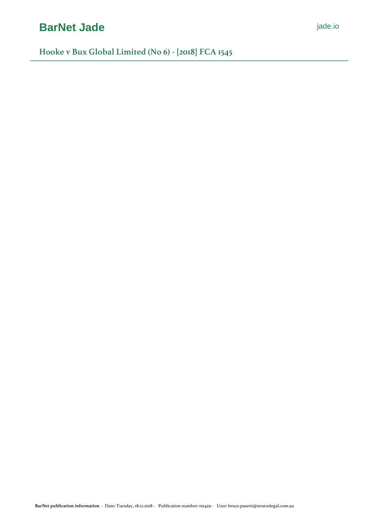# **[BarNet Jade](https://jade.io/)** *[jade.io](https://jade.io/)*

**Hooke v Bux Global Limited (No 6) - [2018] FCA 1545**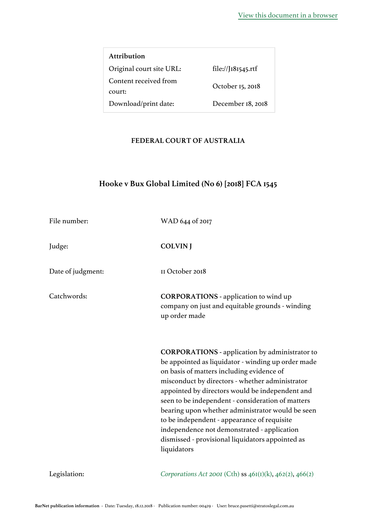| Attribution              |                    |
|--------------------------|--------------------|
| Original court site URL: | file://J181545.rtf |
| Content received from    | October 15, 2018   |
| court:                   |                    |
| Download/print date:     | December 18, 2018  |

# **FEDERAL COURT OF AUSTRALIA**

# **Hooke v Bux Global Limited (No 6) [2018] FCA 1545**

| File number:      | WAD 644 of 2017                                                                                                                                                                                                                                                                                                                                                                                                                                                                                                                          |
|-------------------|------------------------------------------------------------------------------------------------------------------------------------------------------------------------------------------------------------------------------------------------------------------------------------------------------------------------------------------------------------------------------------------------------------------------------------------------------------------------------------------------------------------------------------------|
| Judge:            | <b>COLVIN</b> J                                                                                                                                                                                                                                                                                                                                                                                                                                                                                                                          |
| Date of judgment: | II October 2018                                                                                                                                                                                                                                                                                                                                                                                                                                                                                                                          |
| Catchwords:       | <b>CORPORATIONS</b> - application to wind up<br>company on just and equitable grounds - winding<br>up order made                                                                                                                                                                                                                                                                                                                                                                                                                         |
|                   | <b>CORPORATIONS</b> - application by administrator to<br>be appointed as liquidator - winding up order made<br>on basis of matters including evidence of<br>misconduct by directors - whether administrator<br>appointed by directors would be independent and<br>seen to be independent - consideration of matters<br>bearing upon whether administrator would be seen<br>to be independent - appearance of requisite<br>independence not demonstrated - application<br>dismissed - provisional liquidators appointed as<br>liquidators |
| Legislation:      | Corporations Act 2001 (Cth) ss $46I(I)(k)$ , $462(2)$ , $466(2)$                                                                                                                                                                                                                                                                                                                                                                                                                                                                         |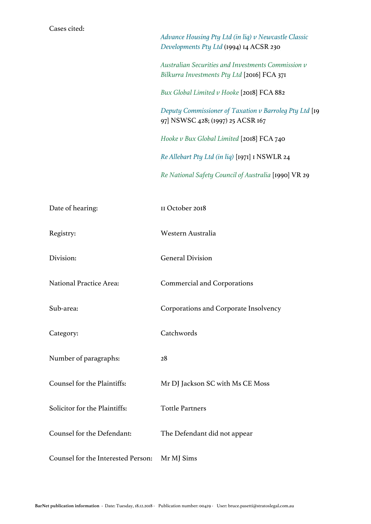| Cases cited:                       | Advance Housing Pty Ltd (in liq) v Newcastle Classic<br>Developments Pty Ltd (1994) 14 ACSR 230   |
|------------------------------------|---------------------------------------------------------------------------------------------------|
|                                    | Australian Securities and Investments Commission v<br>Bilkurra Investments Pty Ltd [2016] FCA 371 |
|                                    | Bux Global Limited v Hooke [2018] FCA 882                                                         |
|                                    | Deputy Commissioner of Taxation v Barroleg Pty Ltd [19]<br>97] NSWSC 428; (1997) 25 ACSR 167      |
|                                    | Hooke v Bux Global Limited [2018] FCA 740                                                         |
|                                    | Re Allebart Pty Ltd (in liq) [1971] I NSWLR 24                                                    |
|                                    | Re National Safety Council of Australia [1990] VR 29                                              |
| Date of hearing:                   | II October 2018                                                                                   |
| Registry:                          | Western Australia                                                                                 |
| Division:                          | <b>General Division</b>                                                                           |
| National Practice Area:            | <b>Commercial and Corporations</b>                                                                |
| Sub-area:                          | Corporations and Corporate Insolvency                                                             |
| Category:                          | Catchwords                                                                                        |
| Number of paragraphs:              | 28                                                                                                |
| Counsel for the Plaintiffs:        | Mr DJ Jackson SC with Ms CE Moss                                                                  |
| Solicitor for the Plaintiffs:      | <b>Tottle Partners</b>                                                                            |
| Counsel for the Defendant:         | The Defendant did not appear                                                                      |
| Counsel for the Interested Person: | Mr MJ Sims                                                                                        |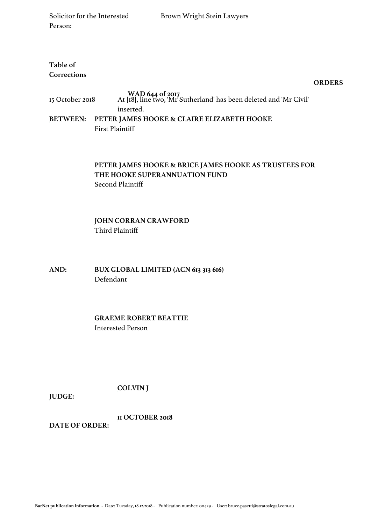# **Table of Corrections**

**ORDERS**

| 15 October 2018 | WAD 644 of 2017<br>At [18], line two, 'Mr Sutherland' has been deleted and 'Mr Civil'<br>inserted. |
|-----------------|----------------------------------------------------------------------------------------------------|
|                 | BETWEEN: PETER JAMES HOOKE & CLAIRE ELIZABETH HOOKE                                                |
|                 | <b>First Plaintiff</b>                                                                             |

# **PETER JAMES HOOKE & BRICE JAMES HOOKE AS TRUSTEES FOR THE HOOKE SUPERANNUATION FUND** Second Plaintiff

# **JOHN CORRAN CRAWFORD** Third Plaintiff

**AND: BUX GLOBAL LIMITED (ACN 613 313 616)** Defendant

> **GRAEME ROBERT BEATTIE** Interested Person

> > **COLVIN J**

**JUDGE:**

**DATE OF ORDER: 11 OCTOBER 2018**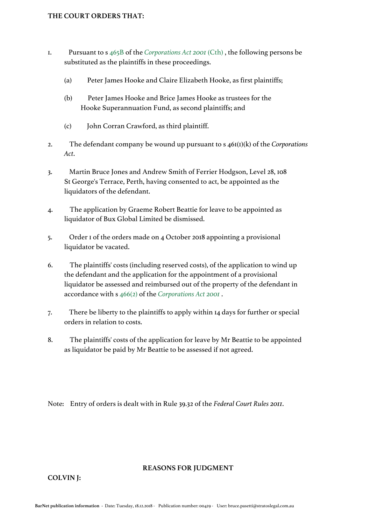- 1. Pursuant to s [465B](https://jade.io/article/216652/section/7584) of the *[Corporations Act 2001](https://jade.io/article/216652)* [\(Cth\)](https://jade.io/article/216652) , the following persons be substituted as the plaintiffs in these proceedings.
	- (a) Peter James Hooke and Claire Elizabeth Hooke, as first plaintiffs;
	- (b) Peter James Hooke and Brice James Hooke as trustees for the Hooke Superannuation Fund, as second plaintiffs; and
	- (c) John Corran Crawford, as third plaintiff.
- 2. The defendant company be wound up pursuant to s 461(1)(k) of the *Corporations Act*.
- 3. Martin Bruce Jones and Andrew Smith of Ferrier Hodgson, Level 28, 108 St George's Terrace, Perth, having consented to act, be appointed as the liquidators of the defendant.
- 4. The application by Graeme Robert Beattie for leave to be appointed as liquidator of Bux Global Limited be dismissed.
- 5. Order 1 of the orders made on 4 October 2018 appointing a provisional liquidator be vacated.
- 6. The plaintiffs' costs (including reserved costs), of the application to wind up the defendant and the application for the appointment of a provisional liquidator be assessed and reimbursed out of the property of the defendant in accordance with s [466\(2\)](https://jade.io/article/216652/section/6221) of the *[Corporations Act 2001](https://jade.io/article/216652)* .
- 7. There be liberty to the plaintiffs to apply within 14 days for further or special orders in relation to costs.
- 8. The plaintiffs' costs of the application for leave by Mr Beattie to be appointed as liquidator be paid by Mr Beattie to be assessed if not agreed.

Note: Entry of orders is dealt with in Rule 39.32 of the *Federal Court Rules 2011*.

#### **REASONS FOR JUDGMENT**

**COLVIN J:**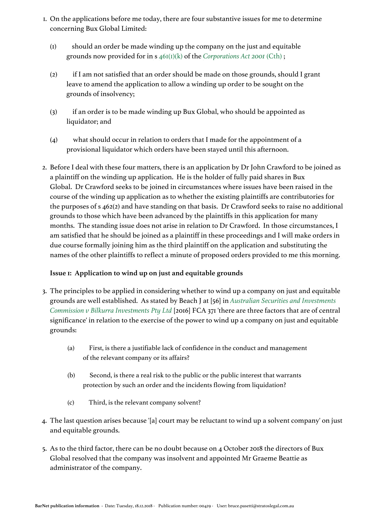- 1. On the applications before me today, there are four substantive issues for me to determine concerning Bux Global Limited:
	- (1) should an order be made winding up the company on the just and equitable grounds now provided for in s [461\(1\)\(k\)](https://jade.io/article/216652/section/3872) of the *[Corporations Act 2001](https://jade.io/article/216652)* [\(Cth\)](https://jade.io/article/216652) ;
	- (2) if I am not satisfied that an order should be made on those grounds, should I grant leave to amend the application to allow a winding up order to be sought on the grounds of insolvency;
	- (3) if an order is to be made winding up Bux Global, who should be appointed as liquidator; and
	- (4) what should occur in relation to orders that I made for the appointment of a provisional liquidator which orders have been stayed until this afternoon.
- 2. Before I deal with these four matters, there is an application by Dr John Crawford to be joined as a plaintiff on the winding up application. He is the holder of fully paid shares in Bux Global. Dr Crawford seeks to be joined in circumstances where issues have been raised in the course of the winding up application as to whether the existing plaintiffs are contributories for the purposes of s 462(2) and have standing on that basis. Dr Crawford seeks to raise no additional grounds to those which have been advanced by the plaintiffs in this application for many months. The standing issue does not arise in relation to Dr Crawford. In those circumstances, I am satisfied that he should be joined as a plaintiff in these proceedings and I will make orders in due course formally joining him as the third plaintiff on the application and substituting the names of the other plaintiffs to reflect a minute of proposed orders provided to me this morning.

# **Issue 1: Application to wind up on just and equitable grounds**

- 3. The principles to be applied in considering whether to wind up a company on just and equitable grounds are well established. As stated by Beach J at [56] in *[Australian Securities and Investments](https://jade.io/article/461830)  [Commission v Bilkurra Investments Pty Ltd](https://jade.io/article/461830)* [2016] FCA 371 'there are three factors that are of central significance' in relation to the exercise of the power to wind up a company on just and equitable grounds:
	- (a) First, is there a justifiable lack of confidence in the conduct and management of the relevant company or its affairs?
	- (b) Second, is there a real risk to the public or the public interest that warrants protection by such an order and the incidents flowing from liquidation?
	- (c) Third, is the relevant company solvent?
- 4. The last question arises because '[a] court may be reluctant to wind up a solvent company' on just and equitable grounds.
- 5. As to the third factor, there can be no doubt because on 4 October 2018 the directors of Bux Global resolved that the company was insolvent and appointed Mr Graeme Beattie as administrator of the company.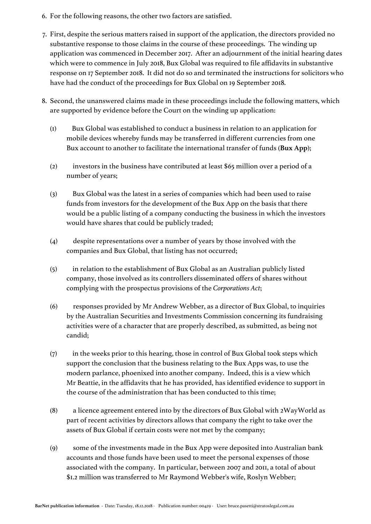- 6. For the following reasons, the other two factors are satisfied.
- 7. First, despite the serious matters raised in support of the application, the directors provided no substantive response to those claims in the course of these proceedings. The winding up application was commenced in December 2017. After an adjournment of the initial hearing dates which were to commence in July 2018, Bux Global was required to file affidavits in substantive response on 17 September 2018. It did not do so and terminated the instructions for solicitors who have had the conduct of the proceedings for Bux Global on 19 September 2018.
- 8. Second, the unanswered claims made in these proceedings include the following matters, which are supported by evidence before the Court on the winding up application:
	- (1) Bux Global was established to conduct a business in relation to an application for mobile devices whereby funds may be transferred in different currencies from one Bux account to another to facilitate the international transfer of funds (**Bux App**);
	- (2) investors in the business have contributed at least \$65 million over a period of a number of years;
	- (3) Bux Global was the latest in a series of companies which had been used to raise funds from investors for the development of the Bux App on the basis that there would be a public listing of a company conducting the business in which the investors would have shares that could be publicly traded;
	- (4) despite representations over a number of years by those involved with the companies and Bux Global, that listing has not occurred;
	- (5) in relation to the establishment of Bux Global as an Australian publicly listed company, those involved as its controllers disseminated offers of shares without complying with the prospectus provisions of the *Corporations Act*;
	- (6) responses provided by Mr Andrew Webber, as a director of Bux Global, to inquiries by the Australian Securities and Investments Commission concerning its fundraising activities were of a character that are properly described, as submitted, as being not candid;
	- (7) in the weeks prior to this hearing, those in control of Bux Global took steps which support the conclusion that the business relating to the Bux Apps was, to use the modern parlance, phoenixed into another company. Indeed, this is a view which Mr Beattie, in the affidavits that he has provided, has identified evidence to support in the course of the administration that has been conducted to this time;
	- (8) a licence agreement entered into by the directors of Bux Global with 2WayWorld as part of recent activities by directors allows that company the right to take over the assets of Bux Global if certain costs were not met by the company;
	- (9) some of the investments made in the Bux App were deposited into Australian bank accounts and those funds have been used to meet the personal expenses of those associated with the company. In particular, between 2007 and 2011, a total of about \$1.2 million was transferred to Mr Raymond Webber's wife, Roslyn Webber;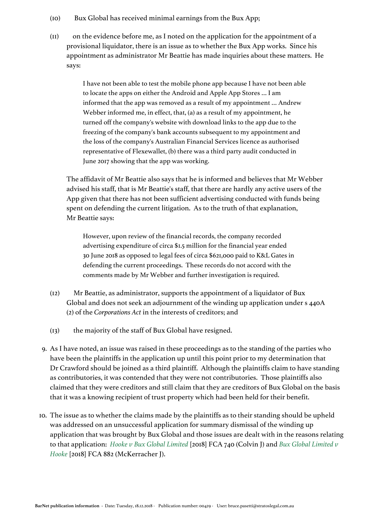- (10) Bux Global has received minimal earnings from the Bux App;
- (11) on the evidence before me, as I noted on the application for the appointment of a provisional liquidator, there is an issue as to whether the Bux App works. Since his appointment as administrator Mr Beattie has made inquiries about these matters. He says:

I have not been able to test the mobile phone app because I have not been able to locate the apps on either the Android and Apple App Stores … I am informed that the app was removed as a result of my appointment … Andrew Webber informed me, in effect, that, (a) as a result of my appointment, he turned off the company's website with download links to the app due to the freezing of the company's bank accounts subsequent to my appointment and the loss of the company's Australian Financial Services licence as authorised representative of Flexewallet, (b) there was a third party audit conducted in June 2017 showing that the app was working.

The affidavit of Mr Beattie also says that he is informed and believes that Mr Webber advised his staff, that is Mr Beattie's staff, that there are hardly any active users of the App given that there has not been sufficient advertising conducted with funds being spent on defending the current litigation. As to the truth of that explanation, Mr Beattie says:

However, upon review of the financial records, the company recorded advertising expenditure of circa \$1.5 million for the financial year ended 30 June 2018 as opposed to legal fees of circa \$621,000 paid to K&L Gates in defending the current proceedings. These records do not accord with the comments made by Mr Webber and further investigation is required.

- (12) Mr Beattie, as administrator, supports the appointment of a liquidator of Bux Global and does not seek an adjournment of the winding up application under s 440A (2) of the *Corporations Act* in the interests of creditors; and
- (13) the majority of the staff of Bux Global have resigned.
- 9. As I have noted, an issue was raised in these proceedings as to the standing of the parties who have been the plaintiffs in the application up until this point prior to my determination that Dr Crawford should be joined as a third plaintiff. Although the plaintiffs claim to have standing as contributories, it was contended that they were not contributories. Those plaintiffs also claimed that they were creditors and still claim that they are creditors of Bux Global on the basis that it was a knowing recipient of trust property which had been held for their benefit.
- 10. The issue as to whether the claims made by the plaintiffs as to their standing should be upheld was addressed on an unsuccessful application for summary dismissal of the winding up application that was brought by Bux Global and those issues are dealt with in the reasons relating to that application: *[Hooke v Bux Global Limited](https://jade.io/article/584930)* [2018] FCA 740 (Colvin J) and *[Bux Global Limited v](https://jade.io/article/588004)  [Hooke](https://jade.io/article/588004)* [2018] FCA 882 (McKerracher J).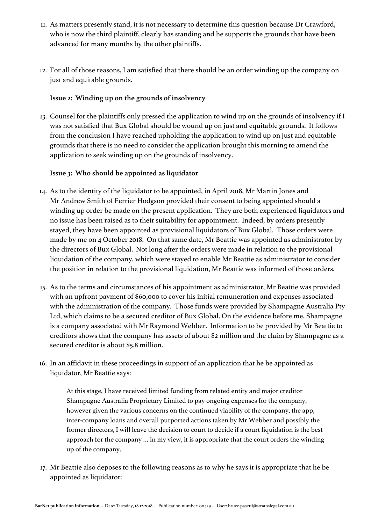- 11. As matters presently stand, it is not necessary to determine this question because Dr Crawford, who is now the third plaintiff, clearly has standing and he supports the grounds that have been advanced for many months by the other plaintiffs.
- 12. For all of those reasons, I am satisfied that there should be an order winding up the company on just and equitable grounds.

# **Issue 2: Winding up on the grounds of insolvency**

13. Counsel for the plaintiffs only pressed the application to wind up on the grounds of insolvency if I was not satisfied that Bux Global should be wound up on just and equitable grounds. It follows from the conclusion I have reached upholding the application to wind up on just and equitable grounds that there is no need to consider the application brought this morning to amend the application to seek winding up on the grounds of insolvency.

# **Issue 3: Who should be appointed as liquidator**

- 14. As to the identity of the liquidator to be appointed, in April 2018, Mr Martin Jones and Mr Andrew Smith of Ferrier Hodgson provided their consent to being appointed should a winding up order be made on the present application. They are both experienced liquidators and no issue has been raised as to their suitability for appointment. Indeed, by orders presently stayed, they have been appointed as provisional liquidators of Bux Global. Those orders were made by me on 4 October 2018. On that same date, Mr Beattie was appointed as administrator by the directors of Bux Global. Not long after the orders were made in relation to the provisional liquidation of the company, which were stayed to enable Mr Beattie as administrator to consider the position in relation to the provisional liquidation, Mr Beattie was informed of those orders.
- 15. As to the terms and circumstances of his appointment as administrator, Mr Beattie was provided with an upfront payment of \$60,000 to cover his initial remuneration and expenses associated with the administration of the company. Those funds were provided by Shampagne Australia Pty Ltd, which claims to be a secured creditor of Bux Global. On the evidence before me, Shampagne is a company associated with Mr Raymond Webber. Information to be provided by Mr Beattie to creditors shows that the company has assets of about \$2 million and the claim by Shampagne as a secured creditor is about \$5.8 million.
- 16. In an affidavit in these proceedings in support of an application that he be appointed as liquidator, Mr Beattie says:

At this stage, I have received limited funding from related entity and major creditor Shampagne Australia Proprietary Limited to pay ongoing expenses for the company, however given the various concerns on the continued viability of the company, the app, inter-company loans and overall purported actions taken by Mr Webber and possibly the former directors, I will leave the decision to court to decide if a court liquidation is the best approach for the company … in my view, it is appropriate that the court orders the winding up of the company.

17. Mr Beattie also deposes to the following reasons as to why he says it is appropriate that he be appointed as liquidator: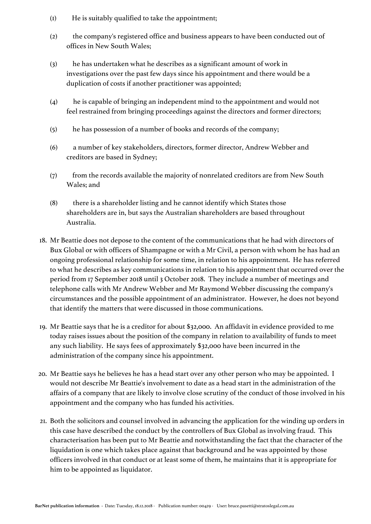- (1) He is suitably qualified to take the appointment;
- (2) the company's registered office and business appears to have been conducted out of offices in New South Wales;
- (3) he has undertaken what he describes as a significant amount of work in investigations over the past few days since his appointment and there would be a duplication of costs if another practitioner was appointed;
- (4) he is capable of bringing an independent mind to the appointment and would not feel restrained from bringing proceedings against the directors and former directors;
- (5) he has possession of a number of books and records of the company;
- (6) a number of key stakeholders, directors, former director, Andrew Webber and creditors are based in Sydney;
- (7) from the records available the majority of nonrelated creditors are from New South Wales; and
- (8) there is a shareholder listing and he cannot identify which States those shareholders are in, but says the Australian shareholders are based throughout Australia.
- 18. Mr Beattie does not depose to the content of the communications that he had with directors of Bux Global or with officers of Shampagne or with a Mr Civil, a person with whom he has had an ongoing professional relationship for some time, in relation to his appointment. He has referred to what he describes as key communications in relation to his appointment that occurred over the period from 17 September 2018 until 3 October 2018. They include a number of meetings and telephone calls with Mr Andrew Webber and Mr Raymond Webber discussing the company's circumstances and the possible appointment of an administrator. However, he does not beyond that identify the matters that were discussed in those communications.
- 19. Mr Beattie says that he is a creditor for about \$32,000. An affidavit in evidence provided to me today raises issues about the position of the company in relation to availability of funds to meet any such liability. He says fees of approximately \$32,000 have been incurred in the administration of the company since his appointment.
- 20. Mr Beattie says he believes he has a head start over any other person who may be appointed. I would not describe Mr Beattie's involvement to date as a head start in the administration of the affairs of a company that are likely to involve close scrutiny of the conduct of those involved in his appointment and the company who has funded his activities.
- 21. Both the solicitors and counsel involved in advancing the application for the winding up orders in this case have described the conduct by the controllers of Bux Global as involving fraud. This characterisation has been put to Mr Beattie and notwithstanding the fact that the character of the liquidation is one which takes place against that background and he was appointed by those officers involved in that conduct or at least some of them, he maintains that it is appropriate for him to be appointed as liquidator.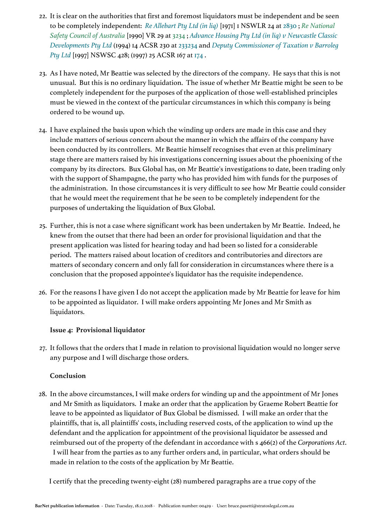- 22. It is clear on the authorities that first and foremost liquidators must be independent and be seen to be completely independent: *[Re Allebart Pty Ltd \(in liq\)](https://jade.io/citation/1408881)* [1971] 1 NSWLR 24 at [2830](https://jade.io/citation/384351/section/8440) ; *[Re National](https://jade.io/article/538803)  [Safety Council of Australia](https://jade.io/article/538803)* [1990] VR 29 at [3234](https://jade.io/article/538803/section/13696) ; *[Advance Housing Pty Ltd \(in liq\) v Newcastle Classic](https://jade.io/citation/1428460)  [Developments Pty Ltd](https://jade.io/citation/1428460)* (1994) 14 ACSR 230 at [233234](https://jade.io/citation/2323505/section/140898) and *[Deputy Commissioner of Taxation v Barroleg](https://jade.io/citation/10437307)  [Pty Ltd](https://jade.io/citation/10437307)* [1997] NSWSC 428; (1997) 25 ACSR 167 at [174](https://jade.io/citation/2340736/section/140362) .
- 23. As I have noted, Mr Beattie was selected by the directors of the company. He says that this is not unusual. But this is no ordinary liquidation. The issue of whether Mr Beattie might be seen to be completely independent for the purposes of the application of those well-established principles must be viewed in the context of the particular circumstances in which this company is being ordered to be wound up.
- 24. I have explained the basis upon which the winding up orders are made in this case and they include matters of serious concern about the manner in which the affairs of the company have been conducted by its controllers. Mr Beattie himself recognises that even at this preliminary stage there are matters raised by his investigations concerning issues about the phoenixing of the company by its directors. Bux Global has, on Mr Beattie's investigations to date, been trading only with the support of Shampagne, the party who has provided him with funds for the purposes of the administration. In those circumstances it is very difficult to see how Mr Beattie could consider that he would meet the requirement that he be seen to be completely independent for the purposes of undertaking the liquidation of Bux Global.
- 25. Further, this is not a case where significant work has been undertaken by Mr Beattie. Indeed, he knew from the outset that there had been an order for provisional liquidation and that the present application was listed for hearing today and had been so listed for a considerable period. The matters raised about location of creditors and contributories and directors are matters of secondary concern and only fall for consideration in circumstances where there is a conclusion that the proposed appointee's liquidator has the requisite independence.
- 26. For the reasons I have given I do not accept the application made by Mr Beattie for leave for him to be appointed as liquidator. I will make orders appointing Mr Jones and Mr Smith as liquidators.

# **Issue 4: Provisional liquidator**

27. It follows that the orders that I made in relation to provisional liquidation would no longer serve any purpose and I will discharge those orders.

# **Conclusion**

28. In the above circumstances, I will make orders for winding up and the appointment of Mr Jones and Mr Smith as liquidators. I make an order that the application by Graeme Robert Beattie for leave to be appointed as liquidator of Bux Global be dismissed. I will make an order that the plaintiffs, that is, all plaintiffs' costs, including reserved costs, of the application to wind up the defendant and the application for appointment of the provisional liquidator be assessed and reimbursed out of the property of the defendant in accordance with s 466(2) of the *Corporations Act*. I will hear from the parties as to any further orders and, in particular, what orders should be made in relation to the costs of the application by Mr Beattie.

I certify that the preceding twenty-eight (28) numbered paragraphs are a true copy of the